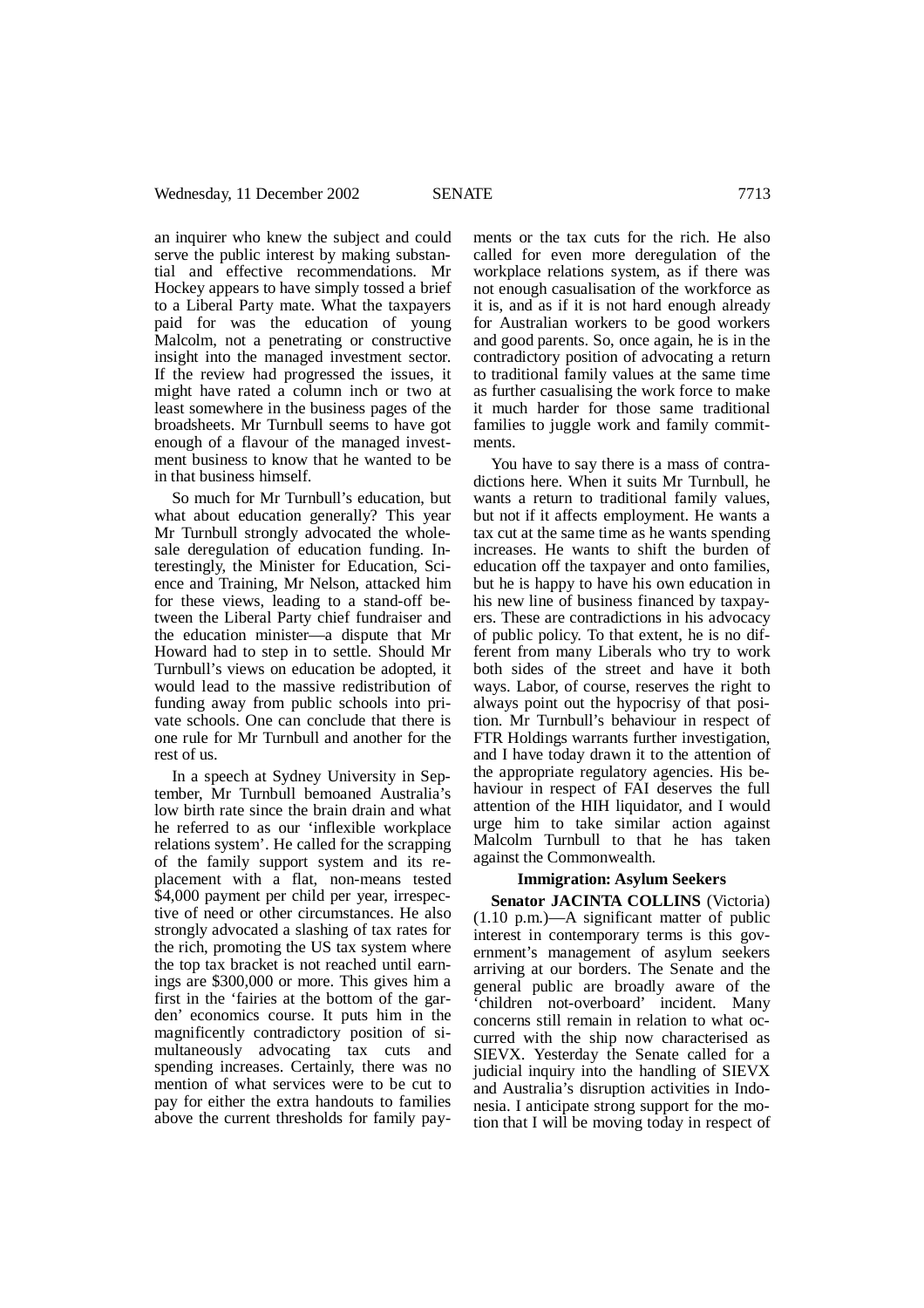an inquirer who knew the subject and could serve the public interest by making substantial and effective recommendations. Mr Hockey appears to have simply tossed a brief to a Liberal Party mate. What the taxpayers paid for was the education of young Malcolm, not a penetrating or constructive insight into the managed investment sector. If the review had progressed the issues, it might have rated a column inch or two at least somewhere in the business pages of the broadsheets. Mr Turnbull seems to have got enough of a flavour of the managed investment business to know that he wanted to be in that business himself.

So much for Mr Turnbull's education, but what about education generally? This year Mr Turnbull strongly advocated the wholesale deregulation of education funding. Interestingly, the Minister for Education, Science and Training, Mr Nelson, attacked him for these views, leading to a stand-off between the Liberal Party chief fundraiser and the education minister—a dispute that Mr Howard had to step in to settle. Should Mr Turnbull's views on education be adopted, it would lead to the massive redistribution of funding away from public schools into private schools. One can conclude that there is one rule for Mr Turnbull and another for the rest of us.

In a speech at Sydney University in September, Mr Turnbull bemoaned Australia's low birth rate since the brain drain and what he referred to as our 'inflexible workplace relations system'. He called for the scrapping of the family support system and its replacement with a flat, non-means tested \$4,000 payment per child per year, irrespective of need or other circumstances. He also strongly advocated a slashing of tax rates for the rich, promoting the US tax system where the top tax bracket is not reached until earnings are \$300,000 or more. This gives him a first in the 'fairies at the bottom of the garden' economics course. It puts him in the magnificently contradictory position of simultaneously advocating tax cuts and spending increases. Certainly, there was no mention of what services were to be cut to pay for either the extra handouts to families above the current thresholds for family pay-

ments or the tax cuts for the rich. He also called for even more deregulation of the workplace relations system, as if there was not enough casualisation of the workforce as it is, and as if it is not hard enough already for Australian workers to be good workers and good parents. So, once again, he is in the contradictory position of advocating a return to traditional family values at the same time as further casualising the work force to make it much harder for those same traditional families to juggle work and family commitments.

You have to say there is a mass of contradictions here. When it suits Mr Turnbull, he wants a return to traditional family values, but not if it affects employment. He wants a tax cut at the same time as he wants spending increases. He wants to shift the burden of education off the taxpayer and onto families, but he is happy to have his own education in his new line of business financed by taxpayers. These are contradictions in his advocacy of public policy. To that extent, he is no different from many Liberals who try to work both sides of the street and have it both ways. Labor, of course, reserves the right to always point out the hypocrisy of that position. Mr Turnbull's behaviour in respect of FTR Holdings warrants further investigation, and I have today drawn it to the attention of the appropriate regulatory agencies. His behaviour in respect of FAI deserves the full attention of the HIH liquidator, and I would urge him to take similar action against Malcolm Turnbull to that he has taken against the Commonwealth.

### **Immigration: Asylum Seekers**

**Senator JACINTA COLLINS** (Victoria) (1.10 p.m.)—A significant matter of public interest in contemporary terms is this government's management of asylum seekers arriving at our borders. The Senate and the general public are broadly aware of the 'children not-overboard' incident. Many concerns still remain in relation to what occurred with the ship now characterised as SIEVX. Yesterday the Senate called for a judicial inquiry into the handling of SIEVX and Australia's disruption activities in Indonesia. I anticipate strong support for the motion that I will be moving today in respect of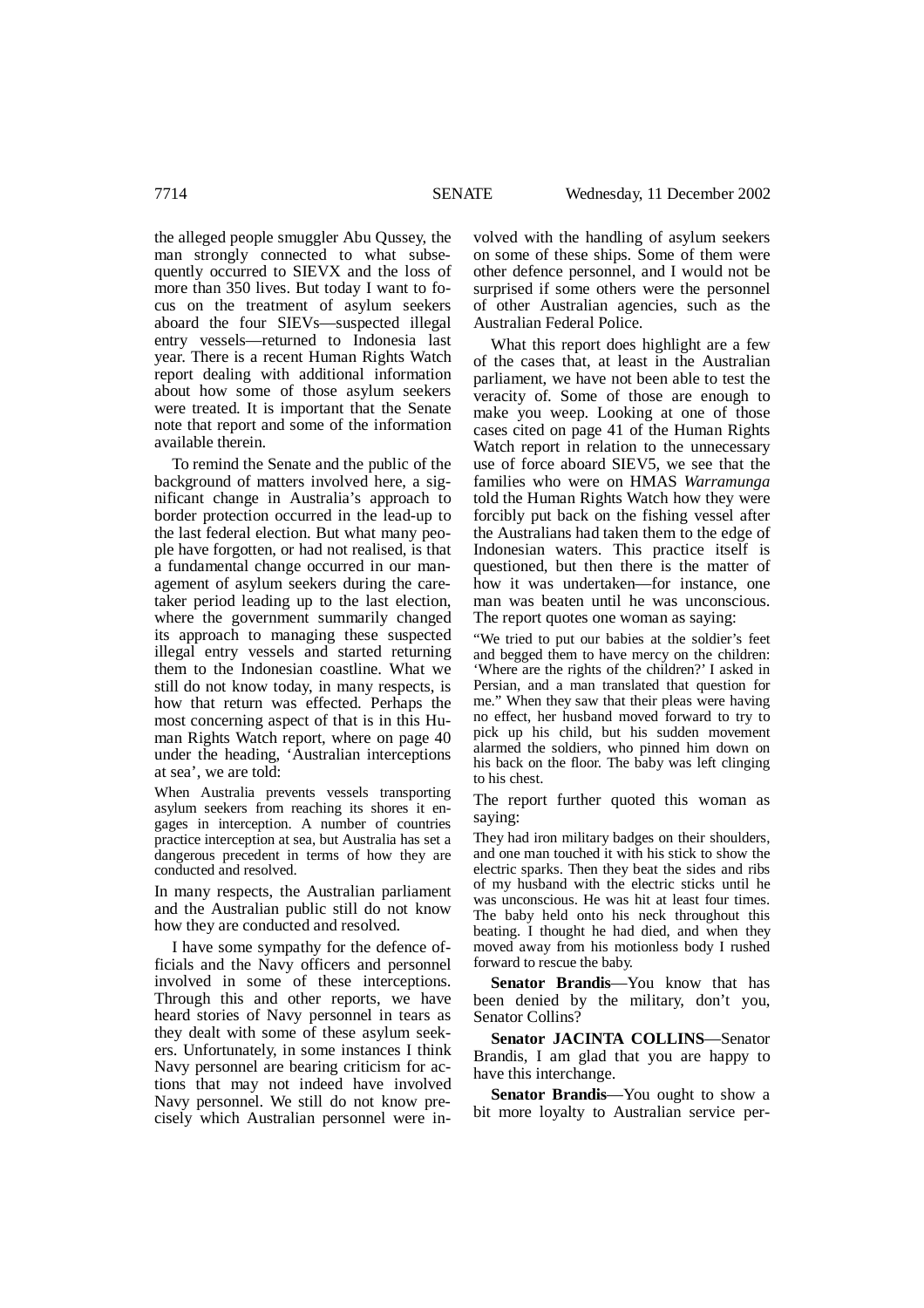the alleged people smuggler Abu Qussey, the man strongly connected to what subsequently occurred to SIEVX and the loss of more than 350 lives. But today I want to focus on the treatment of asylum seekers aboard the four SIEVs—suspected illegal entry vessels—returned to Indonesia last year. There is a recent Human Rights Watch report dealing with additional information about how some of those asylum seekers were treated. It is important that the Senate note that report and some of the information available therein.

To remind the Senate and the public of the background of matters involved here, a significant change in Australia's approach to border protection occurred in the lead-up to the last federal election. But what many people have forgotten, or had not realised, is that a fundamental change occurred in our management of asylum seekers during the caretaker period leading up to the last election, where the government summarily changed its approach to managing these suspected illegal entry vessels and started returning them to the Indonesian coastline. What we still do not know today, in many respects, is how that return was effected. Perhaps the most concerning aspect of that is in this Human Rights Watch report, where on page 40 under the heading, 'Australian interceptions at sea', we are told:

When Australia prevents vessels transporting asylum seekers from reaching its shores it engages in interception. A number of countries practice interception at sea, but Australia has set a dangerous precedent in terms of how they are conducted and resolved.

In many respects, the Australian parliament and the Australian public still do not know how they are conducted and resolved.

I have some sympathy for the defence officials and the Navy officers and personnel involved in some of these interceptions. Through this and other reports, we have heard stories of Navy personnel in tears as they dealt with some of these asylum seekers. Unfortunately, in some instances I think Navy personnel are bearing criticism for actions that may not indeed have involved Navy personnel. We still do not know precisely which Australian personnel were involved with the handling of asylum seekers on some of these ships. Some of them were other defence personnel, and I would not be surprised if some others were the personnel of other Australian agencies, such as the Australian Federal Police.

What this report does highlight are a few of the cases that, at least in the Australian parliament, we have not been able to test the veracity of. Some of those are enough to make you weep. Looking at one of those cases cited on page 41 of the Human Rights Watch report in relation to the unnecessary use of force aboard SIEV5, we see that the families who were on HMAS *Warramunga* told the Human Rights Watch how they were forcibly put back on the fishing vessel after the Australians had taken them to the edge of Indonesian waters. This practice itself is questioned, but then there is the matter of how it was undertaken—for instance, one man was beaten until he was unconscious. The report quotes one woman as saying:

"We tried to put our babies at the soldier's feet and begged them to have mercy on the children: 'Where are the rights of the children?' I asked in Persian, and a man translated that question for me." When they saw that their pleas were having no effect, her husband moved forward to try to pick up his child, but his sudden movement alarmed the soldiers, who pinned him down on his back on the floor. The baby was left clinging to his chest.

The report further quoted this woman as saying:

They had iron military badges on their shoulders, and one man touched it with his stick to show the electric sparks. Then they beat the sides and ribs of my husband with the electric sticks until he was unconscious. He was hit at least four times. The baby held onto his neck throughout this beating. I thought he had died, and when they moved away from his motionless body I rushed forward to rescue the baby.

**Senator Brandis**—You know that has been denied by the military, don't you, Senator Collins?

**Senator JACINTA COLLINS**—Senator Brandis, I am glad that you are happy to have this interchange.

**Senator Brandis**—You ought to show a bit more loyalty to Australian service per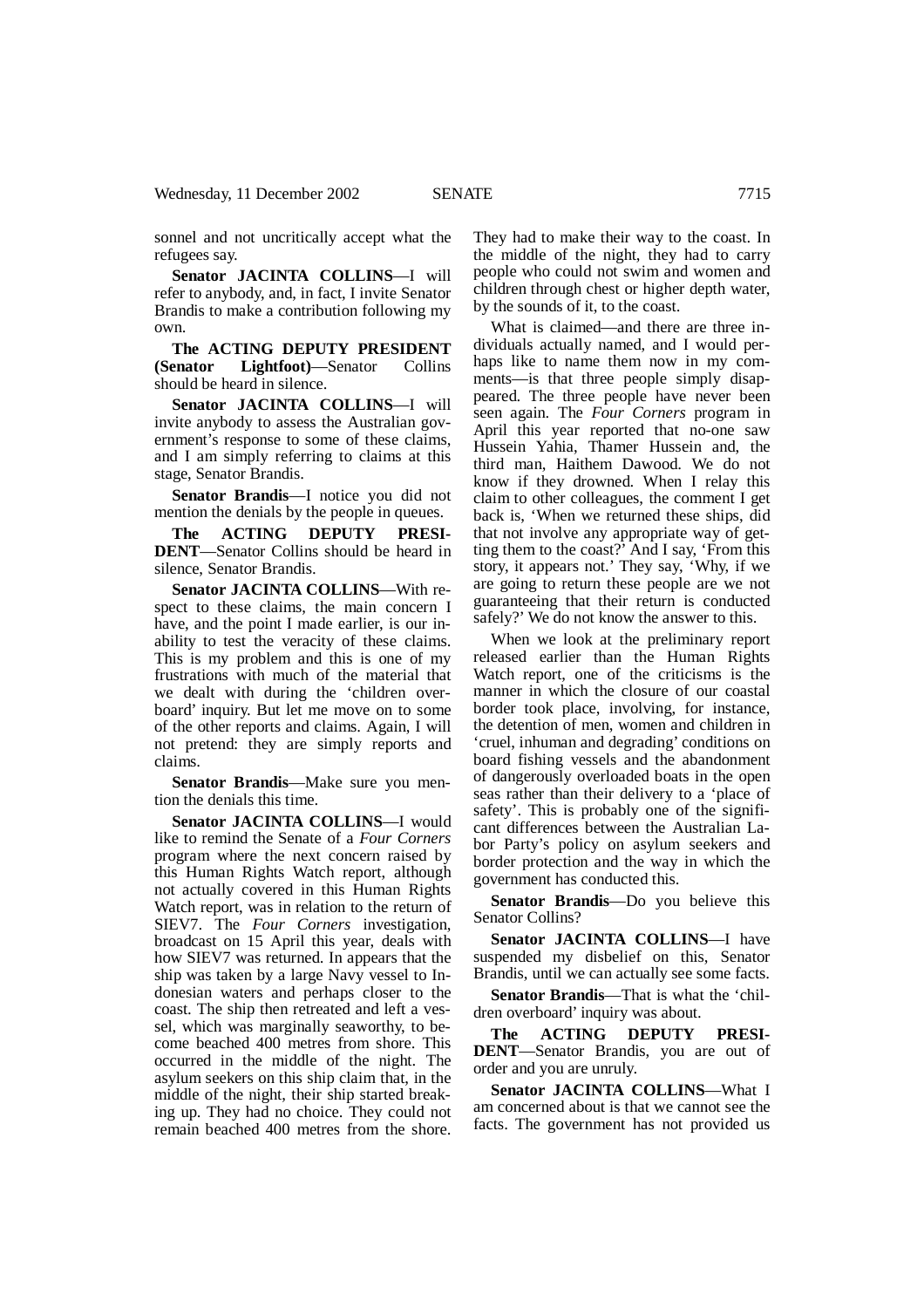sonnel and not uncritically accept what the refugees say.

**Senator JACINTA COLLINS**—I will refer to anybody, and, in fact, I invite Senator Brandis to make a contribution following my own.

**The ACTING DEPUTY PRESIDENT (Senator Lightfoot)**—Senator Collins should be heard in silence.

**Senator JACINTA COLLINS**—I will invite anybody to assess the Australian government's response to some of these claims, and I am simply referring to claims at this stage, Senator Brandis.

**Senator Brandis**—I notice you did not mention the denials by the people in queues.

**The ACTING DEPUTY PRESI-DENT**—Senator Collins should be heard in silence, Senator Brandis.

**Senator JACINTA COLLINS**—With respect to these claims, the main concern I have, and the point I made earlier, is our inability to test the veracity of these claims. This is my problem and this is one of my frustrations with much of the material that we dealt with during the 'children overboard' inquiry. But let me move on to some of the other reports and claims. Again, I will not pretend: they are simply reports and claims.

**Senator Brandis**—Make sure you mention the denials this time.

**Senator JACINTA COLLINS**—I would like to remind the Senate of a *Four Corners* program where the next concern raised by this Human Rights Watch report, although not actually covered in this Human Rights Watch report, was in relation to the return of SIEV7. The *Four Corners* investigation, broadcast on 15 April this year, deals with how SIEV7 was returned. In appears that the ship was taken by a large Navy vessel to Indonesian waters and perhaps closer to the coast. The ship then retreated and left a vessel, which was marginally seaworthy, to become beached 400 metres from shore. This occurred in the middle of the night. The asylum seekers on this ship claim that, in the middle of the night, their ship started breaking up. They had no choice. They could not remain beached 400 metres from the shore. They had to make their way to the coast. In the middle of the night, they had to carry people who could not swim and women and children through chest or higher depth water, by the sounds of it, to the coast.

What is claimed—and there are three individuals actually named, and I would perhaps like to name them now in my comments—is that three people simply disappeared. The three people have never been seen again. The *Four Corners* program in April this year reported that no-one saw Hussein Yahia, Thamer Hussein and, the third man, Haithem Dawood. We do not know if they drowned. When I relay this claim to other colleagues, the comment I get back is, 'When we returned these ships, did that not involve any appropriate way of getting them to the coast?' And I say, 'From this story, it appears not.' They say, 'Why, if we are going to return these people are we not guaranteeing that their return is conducted safely?' We do not know the answer to this.

When we look at the preliminary report released earlier than the Human Rights Watch report, one of the criticisms is the manner in which the closure of our coastal border took place, involving, for instance, the detention of men, women and children in 'cruel, inhuman and degrading' conditions on board fishing vessels and the abandonment of dangerously overloaded boats in the open seas rather than their delivery to a 'place of safety'. This is probably one of the significant differences between the Australian Labor Party's policy on asylum seekers and border protection and the way in which the government has conducted this.

**Senator Brandis**—Do you believe this Senator Collins?

**Senator JACINTA COLLINS**—I have suspended my disbelief on this, Senator Brandis, until we can actually see some facts.

**Senator Brandis**—That is what the 'children overboard' inquiry was about.

**The ACTING DEPUTY PRESI-DENT**—Senator Brandis, you are out of order and you are unruly.

**Senator JACINTA COLLINS**—What I am concerned about is that we cannot see the facts. The government has not provided us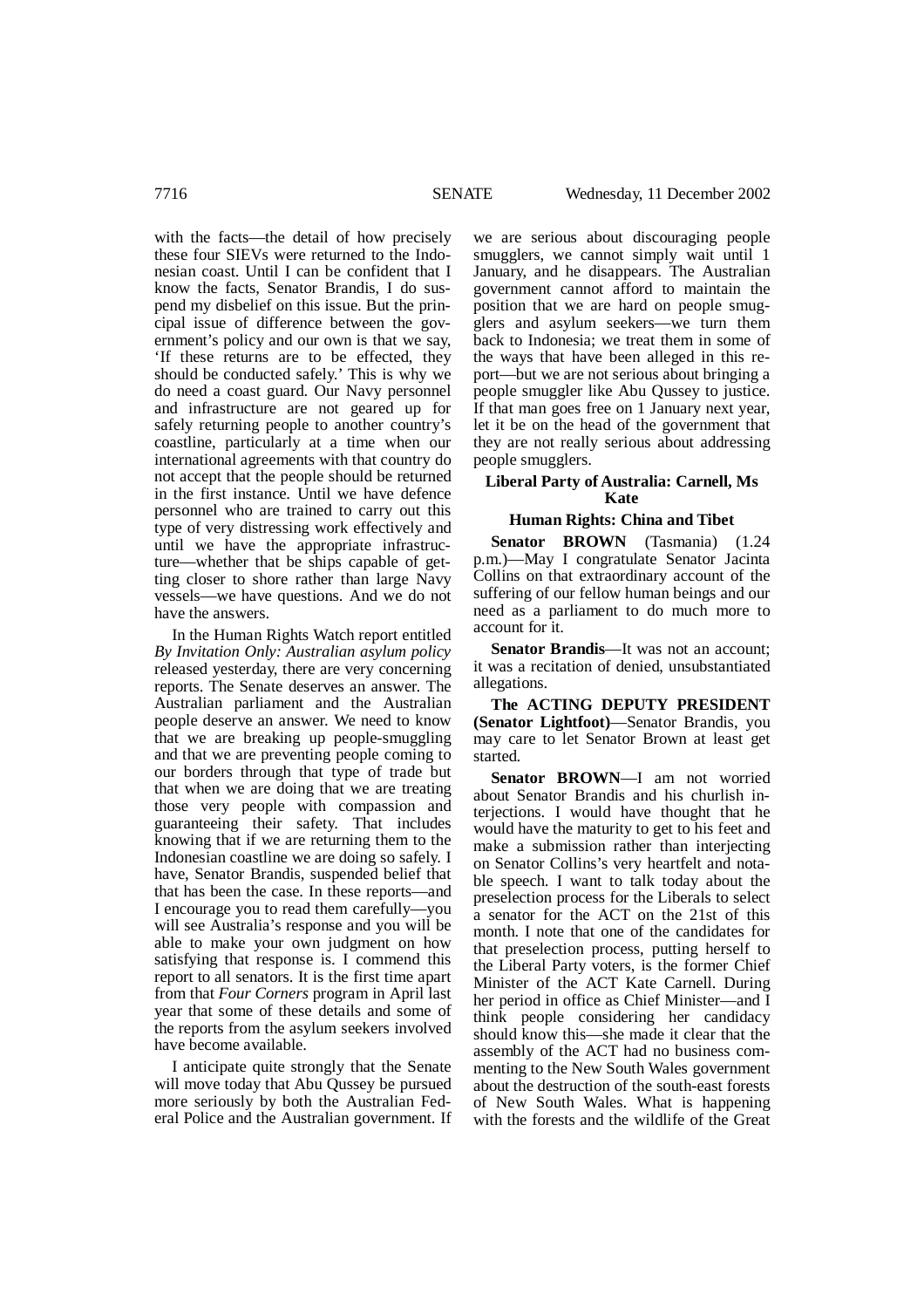with the facts—the detail of how precisely these four SIEVs were returned to the Indonesian coast. Until I can be confident that I know the facts, Senator Brandis, I do suspend my disbelief on this issue. But the principal issue of difference between the government's policy and our own is that we say, 'If these returns are to be effected, they should be conducted safely.' This is why we do need a coast guard. Our Navy personnel and infrastructure are not geared up for safely returning people to another country's coastline, particularly at a time when our international agreements with that country do not accept that the people should be returned in the first instance. Until we have defence personnel who are trained to carry out this type of very distressing work effectively and until we have the appropriate infrastructure—whether that be ships capable of getting closer to shore rather than large Navy vessels—we have questions. And we do not have the answers.

In the Human Rights Watch report entitled *By Invitation Only: Australian asylum policy* released yesterday, there are very concerning reports. The Senate deserves an answer. The Australian parliament and the Australian people deserve an answer. We need to know that we are breaking up people-smuggling and that we are preventing people coming to our borders through that type of trade but that when we are doing that we are treating those very people with compassion and guaranteeing their safety. That includes knowing that if we are returning them to the Indonesian coastline we are doing so safely. I have, Senator Brandis, suspended belief that that has been the case. In these reports—and I encourage you to read them carefully—you will see Australia's response and you will be able to make your own judgment on how satisfying that response is. I commend this report to all senators. It is the first time apart from that *Four Corners* program in April last year that some of these details and some of the reports from the asylum seekers involved have become available.

I anticipate quite strongly that the Senate will move today that Abu Qussey be pursued more seriously by both the Australian Federal Police and the Australian government. If

we are serious about discouraging people smugglers, we cannot simply wait until 1 January, and he disappears. The Australian government cannot afford to maintain the position that we are hard on people smugglers and asylum seekers—we turn them back to Indonesia; we treat them in some of the ways that have been alleged in this report—but we are not serious about bringing a people smuggler like Abu Qussey to justice. If that man goes free on 1 January next year, let it be on the head of the government that they are not really serious about addressing people smugglers.

## **Liberal Party of Australia: Carnell, Ms Kate**

## **Human Rights: China and Tibet**

**Senator BROWN** (Tasmania) (1.24 p.m.)—May I congratulate Senator Jacinta Collins on that extraordinary account of the suffering of our fellow human beings and our need as a parliament to do much more to account for it.

**Senator Brandis**—It was not an account; it was a recitation of denied, unsubstantiated allegations.

**The ACTING DEPUTY PRESIDENT (Senator Lightfoot)**—Senator Brandis, you may care to let Senator Brown at least get started.

**Senator BROWN**—I am not worried about Senator Brandis and his churlish interjections. I would have thought that he would have the maturity to get to his feet and make a submission rather than interjecting on Senator Collins's very heartfelt and notable speech. I want to talk today about the preselection process for the Liberals to select a senator for the ACT on the 21st of this month. I note that one of the candidates for that preselection process, putting herself to the Liberal Party voters, is the former Chief Minister of the ACT Kate Carnell. During her period in office as Chief Minister—and I think people considering her candidacy should know this—she made it clear that the assembly of the ACT had no business commenting to the New South Wales government about the destruction of the south-east forests of New South Wales. What is happening with the forests and the wildlife of the Great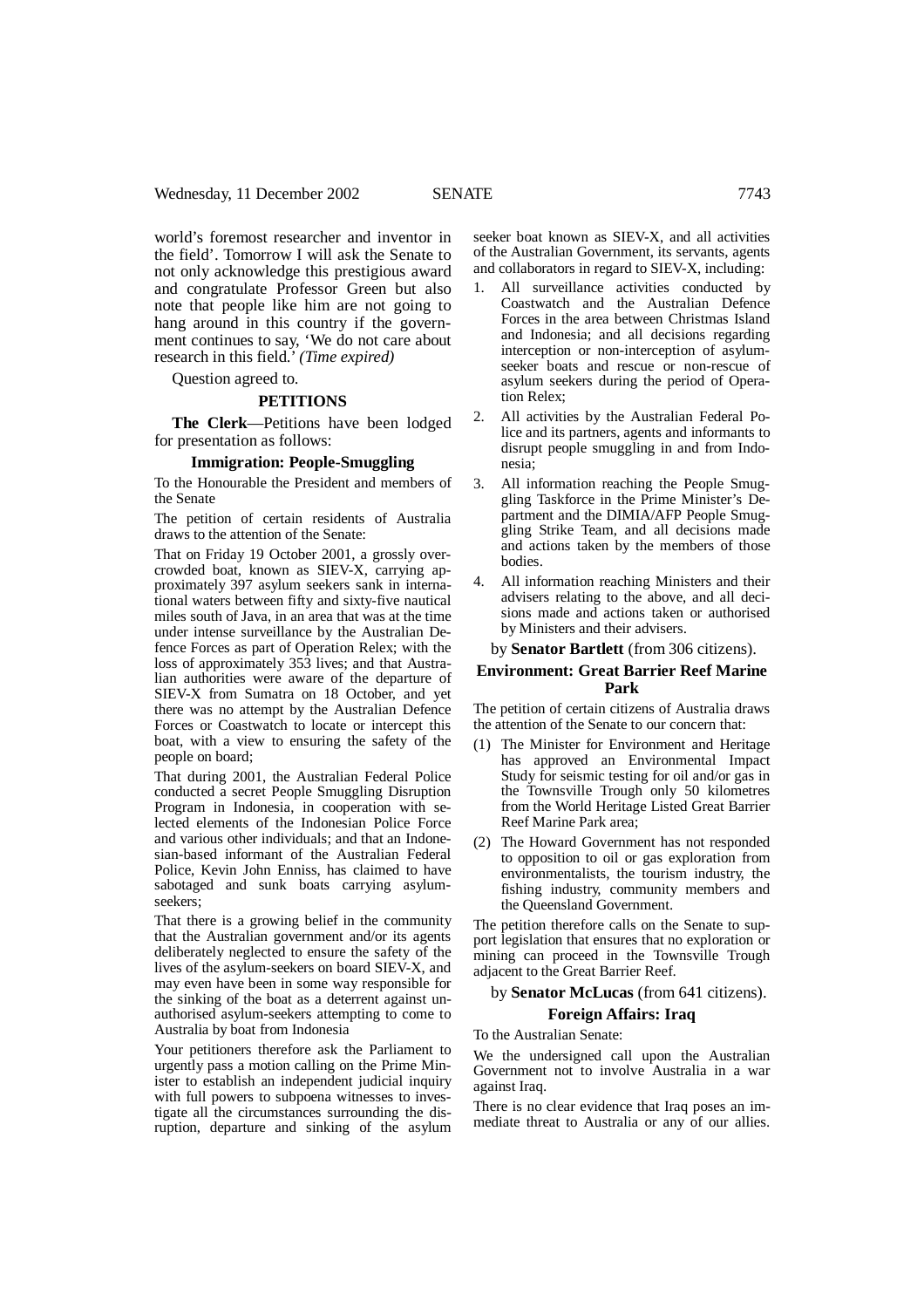world's foremost researcher and inventor in the field'. Tomorrow I will ask the Senate to not only acknowledge this prestigious award and congratulate Professor Green but also note that people like him are not going to hang around in this country if the government continues to say, 'We do not care about research in this field.' *(Time expired)*

Question agreed to.

#### **PETITIONS**

**The Clerk**—Petitions have been lodged for presentation as follows:

#### **Immigration: People-Smuggling**

To the Honourable the President and members of the Senate

The petition of certain residents of Australia draws to the attention of the Senate:

That on Friday 19 October 2001, a grossly overcrowded boat, known as SIEV-X, carrying approximately 397 asylum seekers sank in international waters between fifty and sixty-five nautical miles south of Java, in an area that was at the time under intense surveillance by the Australian Defence Forces as part of Operation Relex; with the loss of approximately 353 lives; and that Australian authorities were aware of the departure of SIEV-X from Sumatra on 18 October, and yet there was no attempt by the Australian Defence Forces or Coastwatch to locate or intercept this boat, with a view to ensuring the safety of the people on board;

That during 2001, the Australian Federal Police conducted a secret People Smuggling Disruption Program in Indonesia, in cooperation with selected elements of the Indonesian Police Force and various other individuals; and that an Indonesian-based informant of the Australian Federal Police, Kevin John Enniss, has claimed to have sabotaged and sunk boats carrying asylumseekers;

That there is a growing belief in the community that the Australian government and/or its agents deliberately neglected to ensure the safety of the lives of the asylum-seekers on board SIEV-X, and may even have been in some way responsible for the sinking of the boat as a deterrent against unauthorised asylum-seekers attempting to come to Australia by boat from Indonesia

Your petitioners therefore ask the Parliament to urgently pass a motion calling on the Prime Minister to establish an independent judicial inquiry with full powers to subpoena witnesses to investigate all the circumstances surrounding the disruption, departure and sinking of the asylum

seeker boat known as SIEV-X, and all activities of the Australian Government, its servants, agents and collaborators in regard to SIEV-X, including:

- 1. All surveillance activities conducted by Coastwatch and the Australian Defence Forces in the area between Christmas Island and Indonesia; and all decisions regarding interception or non-interception of asylumseeker boats and rescue or non-rescue of asylum seekers during the period of Operation Relex;
- 2. All activities by the Australian Federal Police and its partners, agents and informants to disrupt people smuggling in and from Indonesia;
- 3. All information reaching the People Smuggling Taskforce in the Prime Minister's Department and the DIMIA/AFP People Smuggling Strike Team, and all decisions made and actions taken by the members of those bodies.
- 4. All information reaching Ministers and their advisers relating to the above, and all decisions made and actions taken or authorised by Ministers and their advisers.

by **Senator Bartlett** (from 306 citizens).

# **Environment: Great Barrier Reef Marine Park**

The petition of certain citizens of Australia draws the attention of the Senate to our concern that:

- (1) The Minister for Environment and Heritage has approved an Environmental Impact Study for seismic testing for oil and/or gas in the Townsville Trough only 50 kilometres from the World Heritage Listed Great Barrier Reef Marine Park area;
- (2) The Howard Government has not responded to opposition to oil or gas exploration from environmentalists, the tourism industry, the fishing industry, community members and the Queensland Government.

The petition therefore calls on the Senate to support legislation that ensures that no exploration or mining can proceed in the Townsville Trough adjacent to the Great Barrier Reef.

by **Senator McLucas** (from 641 citizens).

#### **Foreign Affairs: Iraq**

To the Australian Senate:

We the undersigned call upon the Australian Government not to involve Australia in a war against Iraq.

There is no clear evidence that Iraq poses an immediate threat to Australia or any of our allies.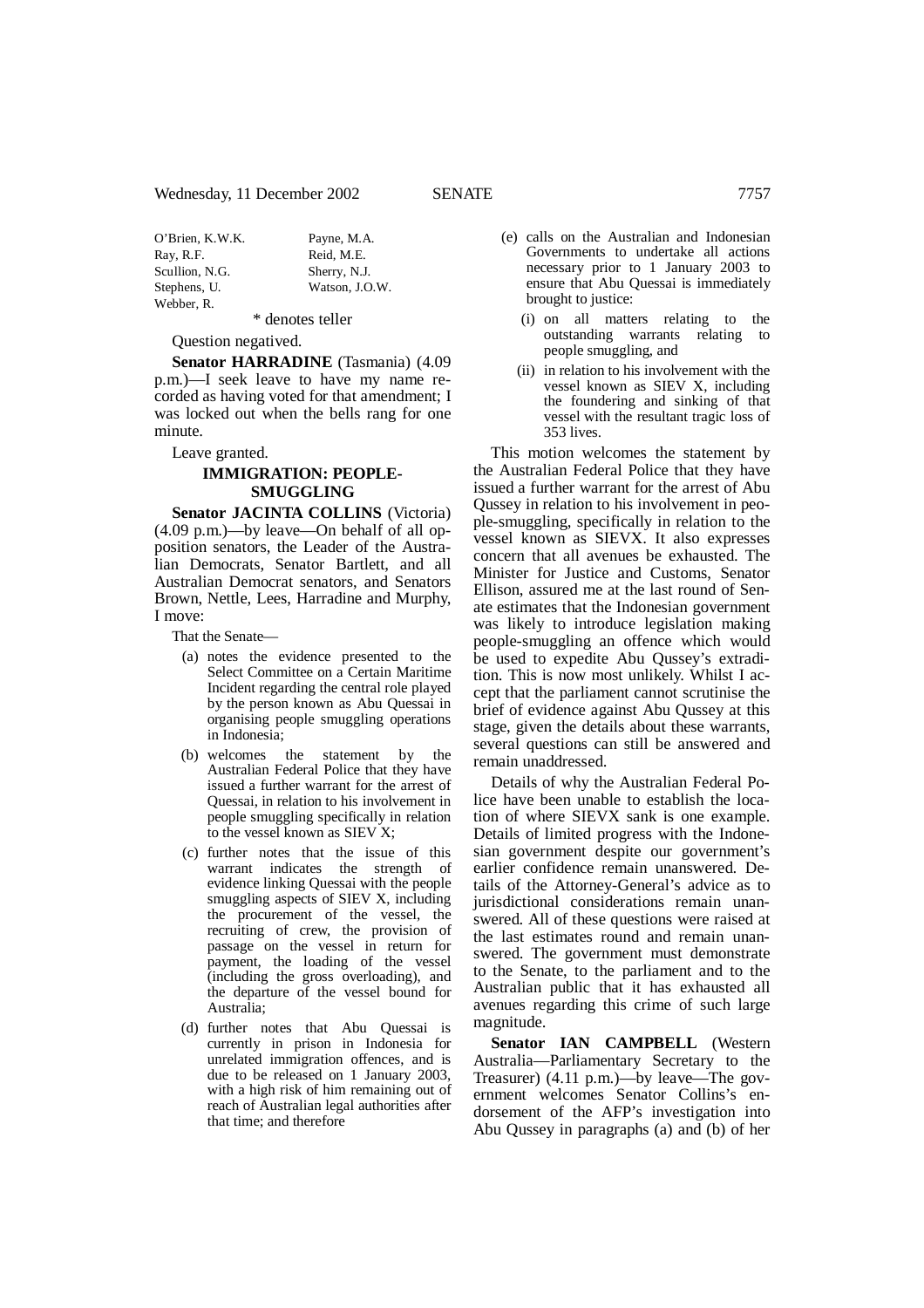| O'Brien, K.W.K. | Payne, M.A.    |
|-----------------|----------------|
| Ray, R.F.       | Reid, M.E.     |
| Scullion, N.G.  | Sherry, N.J.   |
| Stephens, U.    | Watson, J.O.W. |
| Webber, R.      |                |

\* denotes teller

Question negatived.

**Senator HARRADINE** (Tasmania) (4.09 p.m.)—I seek leave to have my name recorded as having voted for that amendment; I was locked out when the bells rang for one minute.

Leave granted.

# **IMMIGRATION: PEOPLE-SMUGGLING**

**Senator JACINTA COLLINS** (Victoria) (4.09 p.m.)—by leave—On behalf of all opposition senators, the Leader of the Australian Democrats, Senator Bartlett, and all Australian Democrat senators, and Senators Brown, Nettle, Lees, Harradine and Murphy, I move:

That the Senate—

- (a) notes the evidence presented to the Select Committee on a Certain Maritime Incident regarding the central role played by the person known as Abu Quessai in organising people smuggling operations in Indonesia;
- (b) welcomes the statement by the Australian Federal Police that they have issued a further warrant for the arrest of Quessai, in relation to his involvement in people smuggling specifically in relation to the vessel known as SIEV X;
- (c) further notes that the issue of this warrant indicates the strength of evidence linking Quessai with the people smuggling aspects of SIEV X, including the procurement of the vessel, the recruiting of crew, the provision of passage on the vessel in return for payment, the loading of the vessel (including the gross overloading), and the departure of the vessel bound for Australia;
- (d) further notes that Abu Quessai is currently in prison in Indonesia for unrelated immigration offences, and is due to be released on 1 January 2003, with a high risk of him remaining out of reach of Australian legal authorities after that time; and therefore
- (e) calls on the Australian and Indonesian Governments to undertake all actions necessary prior to 1 January 2003 to ensure that Abu Quessai is immediately brought to justice:
	- (i) on all matters relating to the outstanding warrants relating to people smuggling, and
	- (ii) in relation to his involvement with the vessel known as SIEV X, including the foundering and sinking of that vessel with the resultant tragic loss of 353 lives.

This motion welcomes the statement by the Australian Federal Police that they have issued a further warrant for the arrest of Abu Qussey in relation to his involvement in people-smuggling, specifically in relation to the vessel known as SIEVX. It also expresses concern that all avenues be exhausted. The Minister for Justice and Customs, Senator Ellison, assured me at the last round of Senate estimates that the Indonesian government was likely to introduce legislation making people-smuggling an offence which would be used to expedite Abu Qussey's extradition. This is now most unlikely. Whilst I accept that the parliament cannot scrutinise the brief of evidence against Abu Qussey at this stage, given the details about these warrants, several questions can still be answered and remain unaddressed.

Details of why the Australian Federal Police have been unable to establish the location of where SIEVX sank is one example. Details of limited progress with the Indonesian government despite our government's earlier confidence remain unanswered. Details of the Attorney-General's advice as to jurisdictional considerations remain unanswered. All of these questions were raised at the last estimates round and remain unanswered. The government must demonstrate to the Senate, to the parliament and to the Australian public that it has exhausted all avenues regarding this crime of such large magnitude.

**Senator IAN CAMPBELL** (Western Australia—Parliamentary Secretary to the Treasurer) (4.11 p.m.)—by leave—The government welcomes Senator Collins's endorsement of the AFP's investigation into Abu Qussey in paragraphs (a) and (b) of her